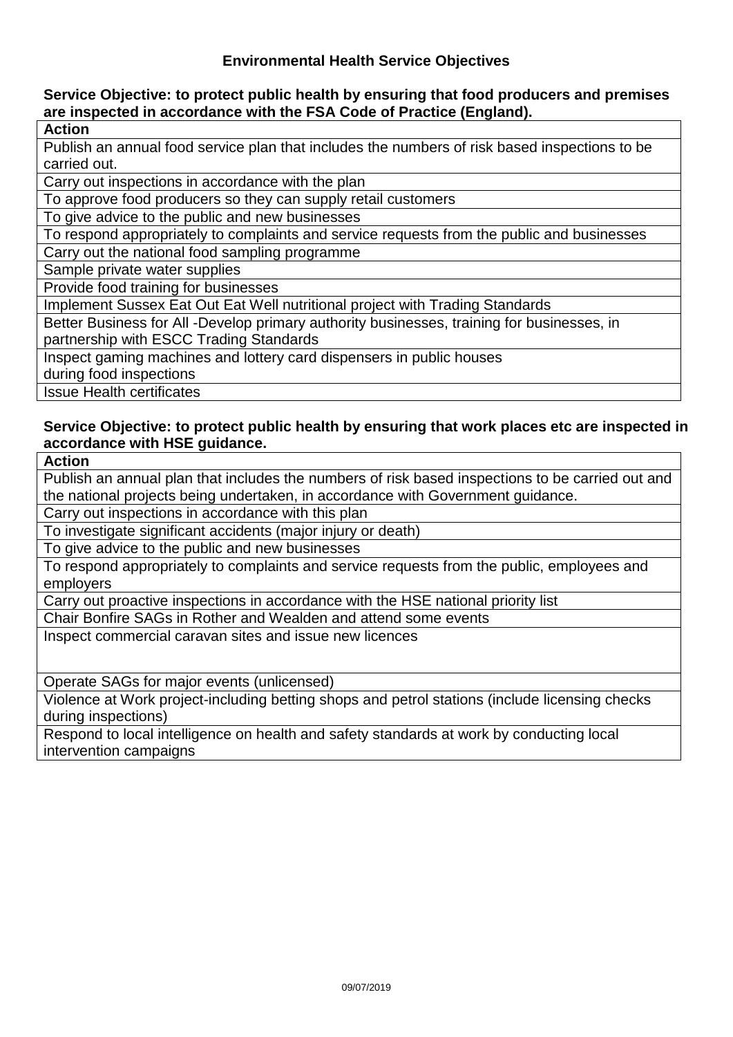### **Service Objective: to protect public health by ensuring that food producers and premises are inspected in accordance with the FSA Code of Practice (England).**

**Action**

Publish an annual food service plan that includes the numbers of risk based inspections to be carried out.

Carry out inspections in accordance with the plan

To approve food producers so they can supply retail customers

To give advice to the public and new businesses

To respond appropriately to complaints and service requests from the public and businesses

Carry out the national food sampling programme

Sample private water supplies

Provide food training for businesses

Implement Sussex Eat Out Eat Well nutritional project with Trading Standards

Better Business for All -Develop primary authority businesses, training for businesses, in partnership with ESCC Trading Standards

Inspect gaming machines and lottery card dispensers in public houses

during food inspections

Issue Health certificates

### **Service Objective: to protect public health by ensuring that work places etc are inspected in accordance with HSE guidance.**

**Action**

Publish an annual plan that includes the numbers of risk based inspections to be carried out and the national projects being undertaken, in accordance with Government guidance.

Carry out inspections in accordance with this plan

To investigate significant accidents (major injury or death)

To give advice to the public and new businesses

To respond appropriately to complaints and service requests from the public, employees and employers

Carry out proactive inspections in accordance with the HSE national priority list

Chair Bonfire SAGs in Rother and Wealden and attend some events

Inspect commercial caravan sites and issue new licences

Operate SAGs for major events (unlicensed)

Violence at Work project-including betting shops and petrol stations (include licensing checks during inspections)

Respond to local intelligence on health and safety standards at work by conducting local intervention campaigns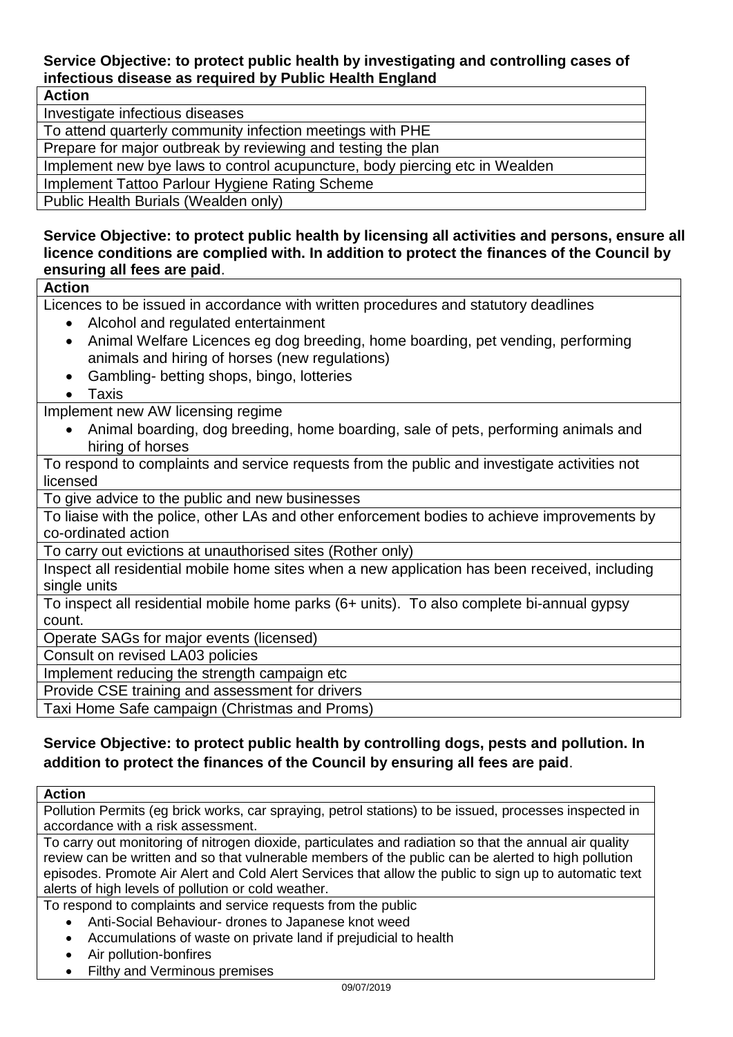# **Service Objective: to protect public health by investigating and controlling cases of infectious disease as required by Public Health England**

### **Action**

Investigate infectious diseases

To attend quarterly community infection meetings with PHE

Prepare for major outbreak by reviewing and testing the plan

Implement new bye laws to control acupuncture, body piercing etc in Wealden

Implement Tattoo Parlour Hygiene Rating Scheme

Public Health Burials (Wealden only)

**Service Objective: to protect public health by licensing all activities and persons, ensure all licence conditions are complied with. In addition to protect the finances of the Council by ensuring all fees are paid**.

### **Action**

Licences to be issued in accordance with written procedures and statutory deadlines

- Alcohol and regulated entertainment
- Animal Welfare Licences eg dog breeding, home boarding, pet vending, performing animals and hiring of horses (new regulations)
- Gambling- betting shops, bingo, lotteries

• Taxis

Implement new AW licensing regime

 Animal boarding, dog breeding, home boarding, sale of pets, performing animals and hiring of horses

To respond to complaints and service requests from the public and investigate activities not licensed

To give advice to the public and new businesses

To liaise with the police, other LAs and other enforcement bodies to achieve improvements by co-ordinated action

To carry out evictions at unauthorised sites (Rother only)

Inspect all residential mobile home sites when a new application has been received, including single units

To inspect all residential mobile home parks (6+ units). To also complete bi-annual gypsy count.

Operate SAGs for major events (licensed)

Consult on revised LA03 policies

Implement reducing the strength campaign etc

Provide CSE training and assessment for drivers

Taxi Home Safe campaign (Christmas and Proms)

## **Service Objective: to protect public health by controlling dogs, pests and pollution. In addition to protect the finances of the Council by ensuring all fees are paid**.

#### **Action**

Pollution Permits (eg brick works, car spraying, petrol stations) to be issued, processes inspected in accordance with a risk assessment.

To carry out monitoring of nitrogen dioxide, particulates and radiation so that the annual air quality review can be written and so that vulnerable members of the public can be alerted to high pollution episodes. Promote Air Alert and Cold Alert Services that allow the public to sign up to automatic text alerts of high levels of pollution or cold weather.

To respond to complaints and service requests from the public

- Anti-Social Behaviour- drones to Japanese knot weed
- Accumulations of waste on private land if prejudicial to health
- Air pollution-bonfires
- Filthy and Verminous premises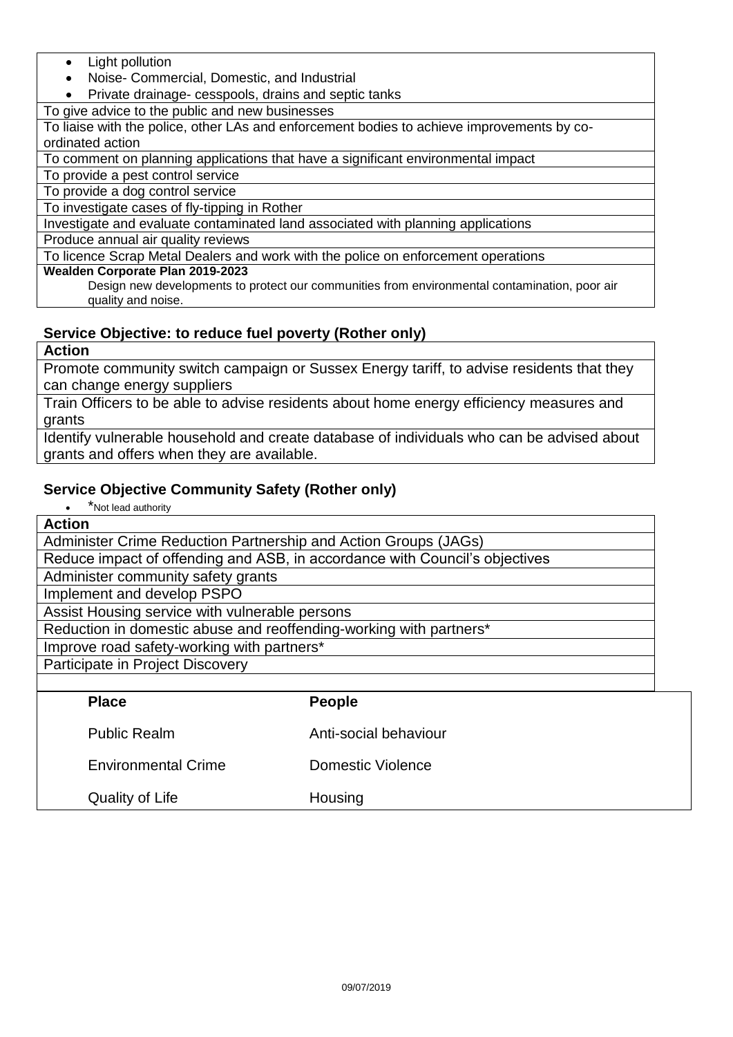- Light pollution
- Noise- Commercial, Domestic, and Industrial
- Private drainage- cesspools, drains and septic tanks

To give advice to the public and new businesses

To liaise with the police, other LAs and enforcement bodies to achieve improvements by coordinated action

To comment on planning applications that have a significant environmental impact

To provide a pest control service

To provide a dog control service

To investigate cases of fly-tipping in Rother

Investigate and evaluate contaminated land associated with planning applications

#### Produce annual air quality reviews

To licence Scrap Metal Dealers and work with the police on enforcement operations

#### **Wealden Corporate Plan 2019-2023**

Design new developments to protect our communities from environmental contamination, poor air quality and noise.

## **Service Objective: to reduce fuel poverty (Rother only)**

#### **Action**

Promote community switch campaign or Sussex Energy tariff, to advise residents that they can change energy suppliers

Train Officers to be able to advise residents about home energy efficiency measures and grants

Identify vulnerable household and create database of individuals who can be advised about grants and offers when they are available.

## **Service Objective Community Safety (Rother only)**

| *Not lead authority                                                         |  |  |  |
|-----------------------------------------------------------------------------|--|--|--|
| <b>Action</b>                                                               |  |  |  |
| Administer Crime Reduction Partnership and Action Groups (JAGs)             |  |  |  |
| Reduce impact of offending and ASB, in accordance with Council's objectives |  |  |  |
| Administer community safety grants                                          |  |  |  |
| Implement and develop PSPO                                                  |  |  |  |
| Assist Housing service with vulnerable persons                              |  |  |  |
| Reduction in domestic abuse and reoffending-working with partners*          |  |  |  |
| Improve road safety-working with partners*                                  |  |  |  |
| Participate in Project Discovery                                            |  |  |  |
|                                                                             |  |  |  |
| <b>Place</b><br><b>People</b>                                               |  |  |  |
|                                                                             |  |  |  |

| י ומטכ                     | <u>I conic</u>        |
|----------------------------|-----------------------|
| <b>Public Realm</b>        | Anti-social behaviour |
| <b>Environmental Crime</b> | Domestic Violence     |
| Quality of Life            | Housing               |